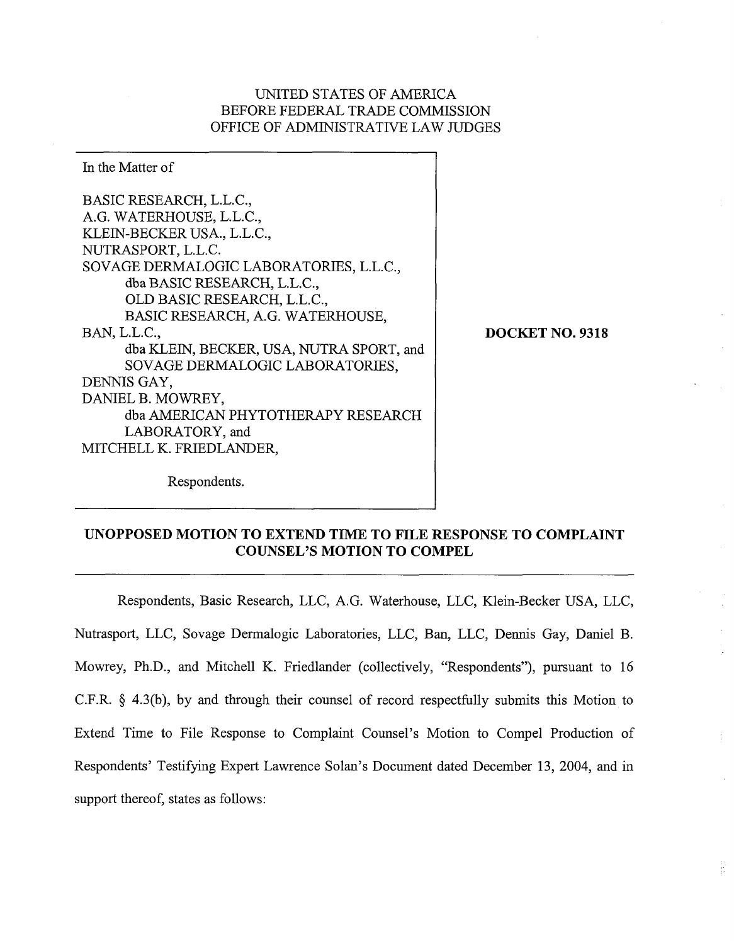## UNITED STATES OF AMERICA BEFORE FEDERAL TRADE COMMISSION OFFICE OF ADMINISTRATIVE LAW JUDGES

In the Matter of BASIC RESEARCH, L.L.C., A.G. WATERHOUSE, L.L.C., KLEIN-BECKER USA., L.L.C., NUTRASPORT, L.L.C. SOVAGE DERMALOGIC LABORATORIES, L.L.C., dba BASIC RESEARCH, L.L.C., OLD BASIC RESEARCH, L.L.C., BASIC RESEARCH, A.G. WATERHOUSE, BAN, L.L.C., dba KLEIN, BECKER, USA, NUTRA SPORT, and SOVAGE DERMALOGIC LABORATORIES, DENNIS GAY, DANIEL B. MOWREY, dba AMERICAN PHYTOTHERAPY RESEARCH LABORATORY, and MITCHELL K. FRIEDLANDER,

**DOCKET NO. 9318** 

÷

Ë

Respondents.

# **UNOPPOSED MOTION TO EXTEND TIME TO FILE RESPONSE TO COMPLAINT COUNSEL'S MOTION TO COMPEL**

Respondents, Basic Research, LLC, A.G. Waterhouse, LLC, Klein-Becker USA, LLC, Nutrasport, LLC, Sovage Dermalogic Laboratories, LLC, Ban, LLC, Dennis Gay, Daniel B. Mowrey, Ph.D., and Mitchell K. Friedlander (collectively, "Respondents"), pursuant to 16 C.F.R. **8** 4.3(b), by and through their counsel of record respectfully submits this Motion to Extend Time to File Response to Complaint Counsel's Motion to Compel Production of Respondents' Testifying Expert Lawrence Solan's Document dated December 13, 2004, and in support thereof, states as follows: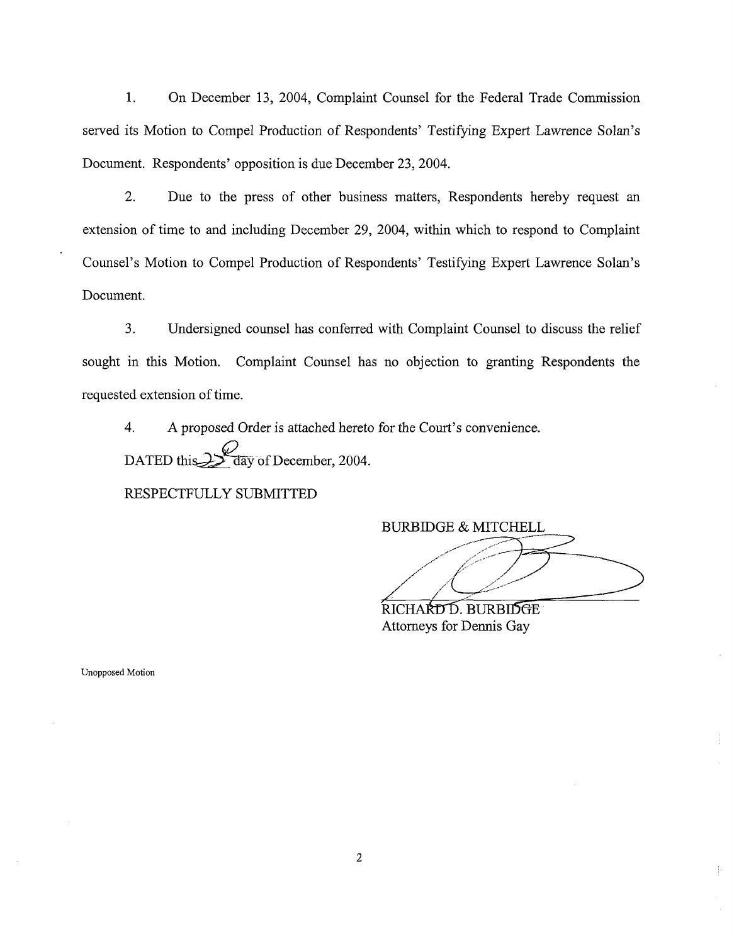1. On December 13, 2004, Complaint Counsel for the Federal Trade Commission served its Motion to Compel Production of Respondents' Testifying Expert Lawrence Solan's Document. Respondents' opposition is due December 23,2004.

2. Due to the press of other business matters, Respondents hereby request an extension of time to and including December 29, 2004, within which to respond to Complaint Counsel's Motion to Compel Production of Respondents' Testifying Expert Lawrence Solan's Document.

3. Undersigned counsel has conferred with Complaint Counsel to discuss the relief sought in this Motion. Complaint Counsel has no objection to granting Respondents the requested extension of time.

4. A proposed Order is attached hereto for the Court's convenience. DATED this 2  $\frac{2}{3}$  av of December, 2004.

RESPECTFULLY SUBMITTED

BURBIDGE & MITCHELL

ţ.

RICHARD D. BURBIDGE Attorneys for Dennis Gay

Unopposed Motion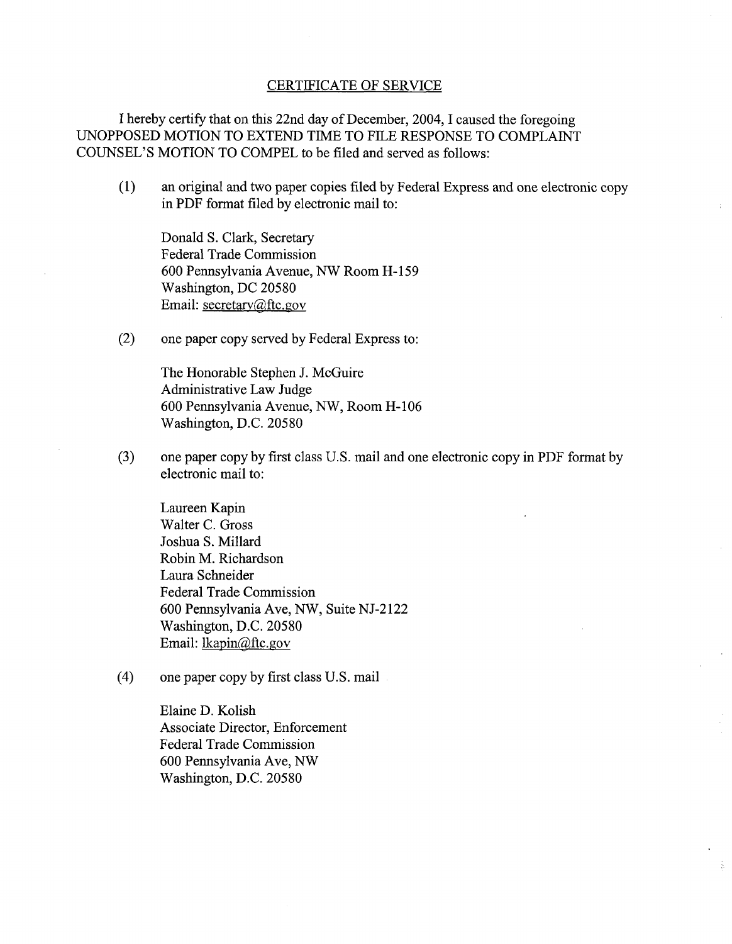#### CERTIFICATE OF SERVICE

I hereby certify that on this 22nd day of December, 2004, I caused the foregoing UNOPPOSED MOTION TO EXTEND TIME TO FILE RESPONSE TO COMPLAINT COUNSEL'S MOTION TO COMPEL to be filed and served as follows:

(1) an original and two paper copies filed by Federal Express and one electronic copy in PDF format filed by electronic mail to:

Donald S. Clark, Secretary Federal Trade Commission 600 Pennsylvania Avenue, NW Room H-159 Washington, DC 20580 Email: secretary@ftc.gov

(2) one paper copy served by Federal Express to:

The Honorable Stephen J. McGuire Administrative Law Judge 600 Pennsylvania Avenue, NW, Room H-106 Washington, D.C. 20580

**(3)** one paper copy by first class U.S. mail and one electronic copy in PDF format by electronic mail to:

Laureen Kapin Walter C. Gross Joshua S. Millard Robin M. Richardson Laura Schneider Federal Trade Commission 600 Pennsylvania Ave, NW, Suite NJ-2 122 Washington, D.C. 20580 Email: lkapin@ftc.gov

(4) one paper copy by first class U.S. mail

Elaine D. Kolish Associate Director, Enforcement Federal Trade Commission 600 Pennsylvania Ave, NW Washington, D.C. 20580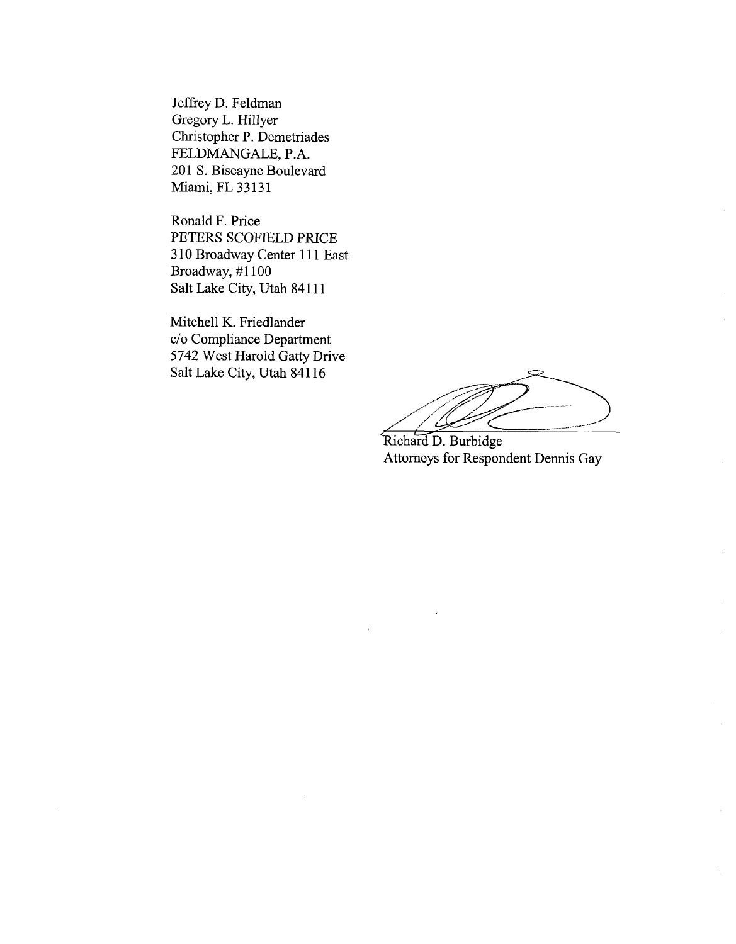Jeffrey D. Feldman Gregory L. Hillyer Christopher P. Demetriades FELDMANGALE, P.A. 201 S. Biscayne Boulevard Miami, FL 33131

Ronald F. Price PETERS SCOFIELD PRICE 3 10 Broadway Center 1 1 1 East Broadway, #I100 Salt Lake City, Utah 841 11

Mitchell K. Friedlander c/o Compliance Department 5742 West Harold Gatty Drive Salt Lake City, Utah 841 16

Richard D. Burbidge Attorneys for Respondent Dennis Gay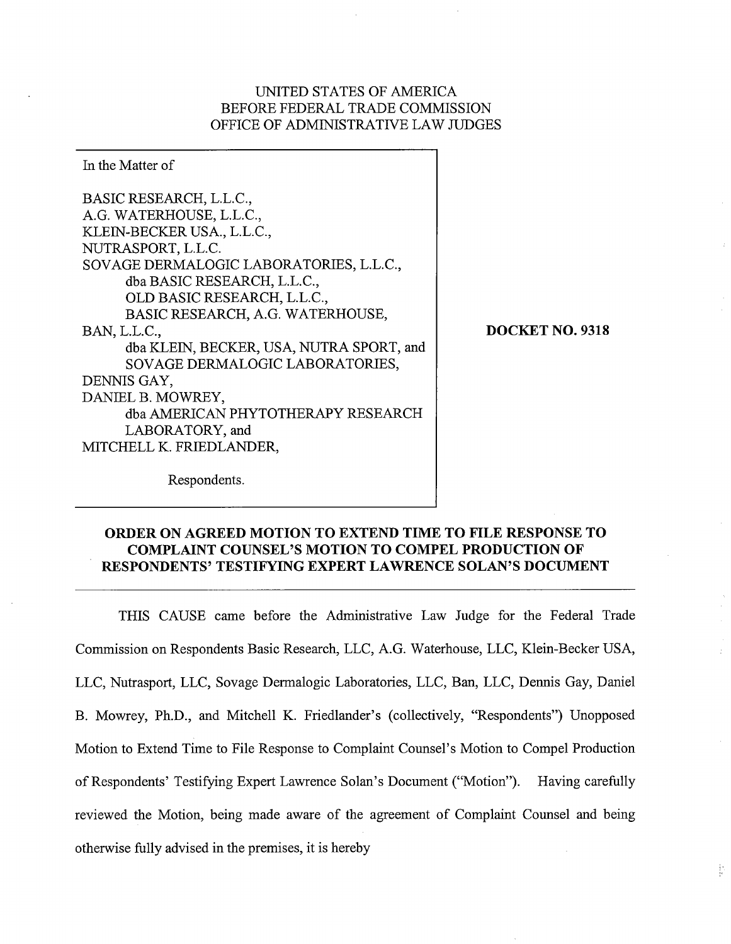## UNITED STATES OF AMERICA BEFORE FEDERAL TRADE COMMISSION OFFICE OF ADMINISTRATIVE LAW JUDGES

In the Matter of BASIC RESEARCH, L.L.C., A.G. WATERHOUSE, L.L.C., KLEIN-BECKER USA., L.L.C., NUTRASPORT, L.L.C. SOVAGE DERMALOGIC LABORATORIES, L.L.C., dba BASIC RESEARCH, L.L.C., OLD BASIC RESEARCH, L.L.C., BASIC RESEARCH, A.G. WATERHOUSE, BAN, L.L.C., dba KLEIN, BECKER, USA, NUTRA SPORT, and SOVAGE DERMALOGIC LABORATORIES, DENNIS GAY, DANIEL B. MOWREY, dba AMERICAN PHYTOTHERAPY RESEARCH LABORATORY, and MITCHELL K. FRIEDLANDER,

**DOCKET NO. 9318** 

ţ.

Respondents.

## **ORDER ON AGREED MOTION TO EXTEND TIME TO FILE RESPONSE TO COMPLAINT COUNSEL'S MOTION TO COMPEL PRODUCTION OF RESPONDENTS' TESTIFYING EXPERT LAWRENCE SOLAN'S DOCUMENT**

THIS CAUSE came before the Administrative Law Judge for the Federal Trade Commission on Respondents Basic Research, LLC, A.G. Waterhouse, LLC, Klein-Becker USA, LLC, Nutrasport, LLC, Sovage Dermalogic Laboratories, LLC, Ban, LLC, Dennis Gay, Daniel B. Mowrey, Ph.D., and Mitchell K. Friedlander's (collectively, "Respondents") Unopposed Motion to Extend Time to File Response to Complaint Counsel's Motion to Compel Production of Respondents' Testifying Expert Lawrence Solan's Document ("Motion"). Having carefully reviewed the Motion, being made aware of the agreement of Complaint Counsel and being otherwise fully advised in the premises, it is hereby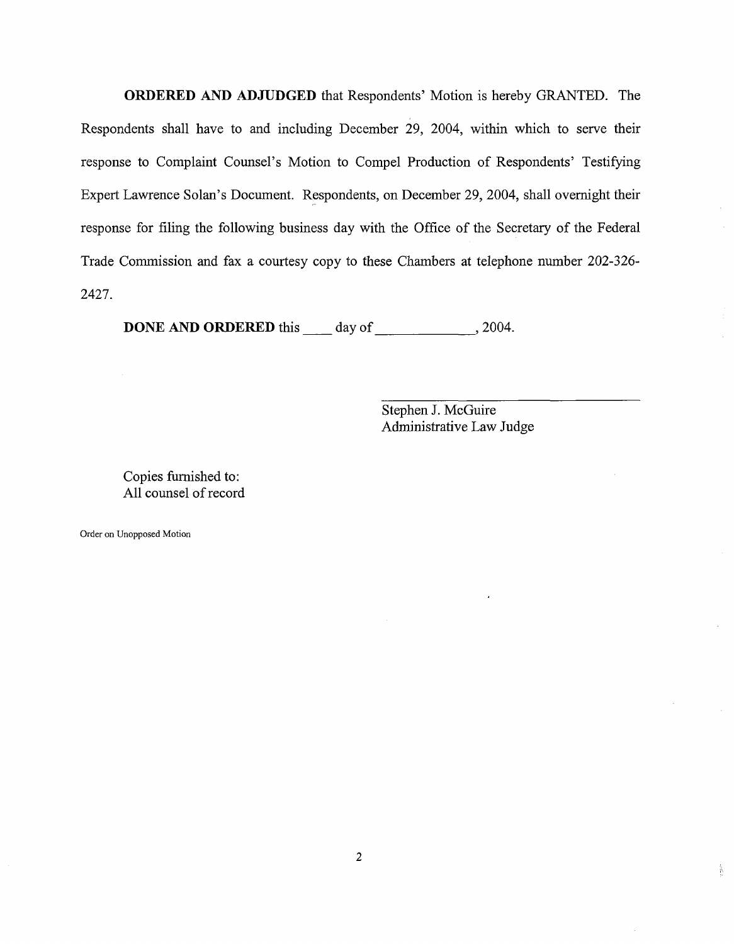**ORDERED AND ADJUDGED** that Respondents' Motion is hereby GRANTED. The Respondents shall have to and including December 29, 2004, within which to serve their response to Complaint Counsel's Motion to Compel Production of Respondents' Testifying Expert Lawrence Solan's Document. Respondents, on December 29,2004, shall overnight their response for filing the following business day with the Office of the Secretary of the Federal Trade Commission and fax a courtesy copy to these Chambers at telephone number 202-326- 2427.

**DONE AND ORDERED** this day of ,2004.

Stephen J. McGuire Administrative Law Judge  $\bar{\mathcal{A}}$ 

송

Copies furnished to: All counsel of record

Order on Unopposed Motion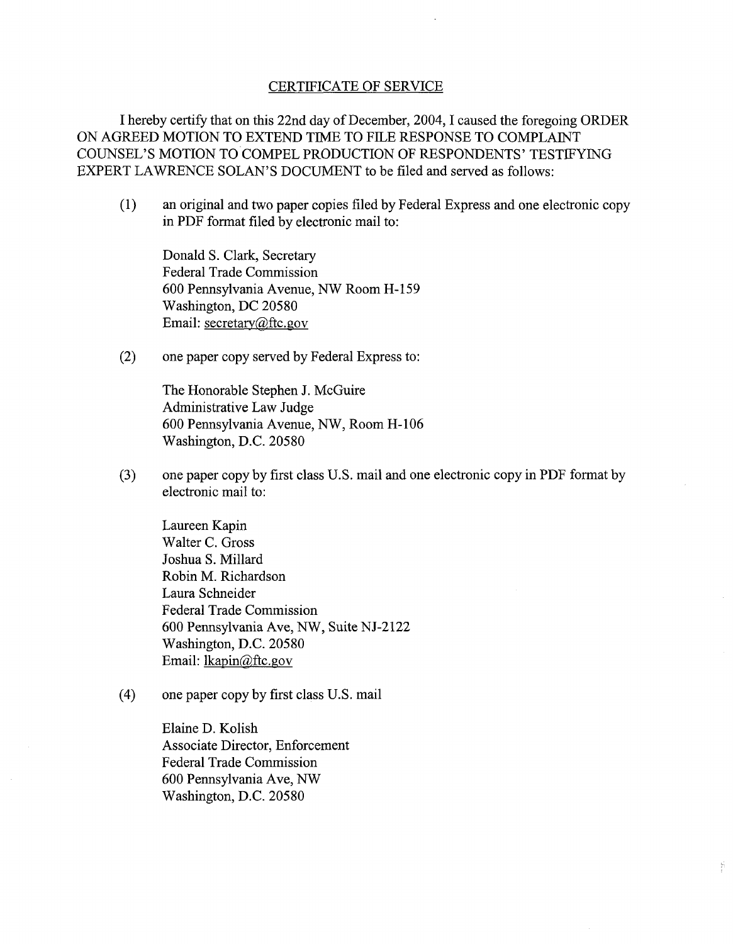#### CERTIFICATE OF SERVICE

I hereby certify that on this 22nd day of December, 2004, I caused the foregoing ORDER ON AGREED MOTION TO EXTEND TIME TO FILE RESPONSE TO COMPLAINT COUNSEL'S MOTION TO COMPEL PRODUCTION OF RESPONDENTS' TESTIFYING EXPERT LAWRENCE SOLAN'S DOCUMENT to be filed and served as follows:

(1) an original and two paper copies filed by Federal Express and one electronic copy in PDF format filed by electronic mail to:

Donald S. Clark, Secretary Federal Trade Commission 600 Pennsylvania Avenue, NW Room H-159 Washington, DC 20580 Email: secretary@ftc.gov

(2) one paper copy sewed by Federal Express to:

The Honorable Stephen J. McGuire Administrative Law Judge 600 Pennsylvania Avenue, NW, Room H- 106 Washington, D.C. 20580

**(3)** one paper copy by first class U.S. mail and one electronic copy in PDF format by electronic mail to:

Y.

Laureen Kapin Walter C. Gross Joshua S. Millard Robin M. Richardson Laura Schneider Federal Trade Commission 600 Pennsylvania Ave, NW, Suite NJ-2122 Washington, D.C. 20580 Email: lkapin@ftc.gov

(4) one paper copy by first class U.S. mail

Elaine D. Kolish Associate Director, Enforcement Federal Trade Commission 600 Pennsylvania Ave, NW Washington, D.C. 20580